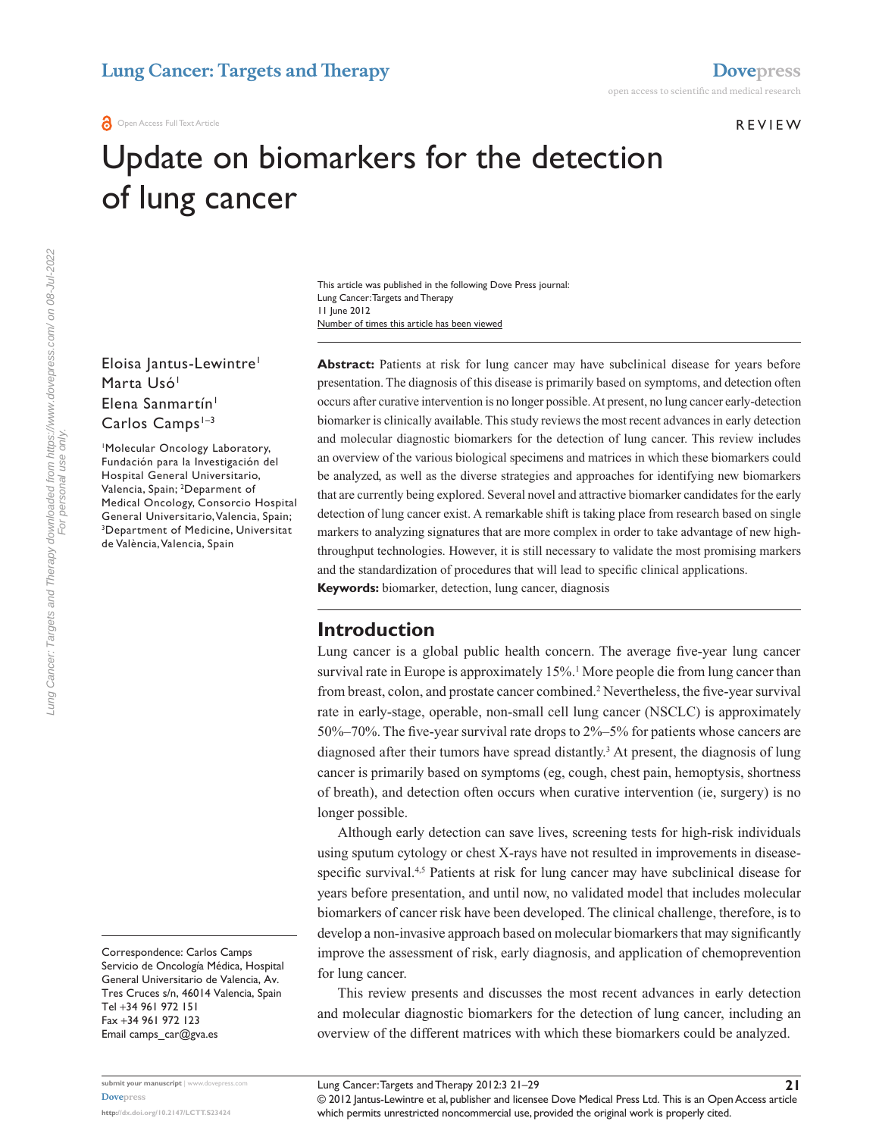#### R evie w

**21**

# Update on biomarkers for the detection of lung cancer

Number of times this article has been viewed This article was published in the following Dove Press journal: Lung Cancer: Targets and Therapy 11 June 2012

Eloisa Jantus-Lewintre<sup>1</sup> Marta Usó<sup>1</sup> Elena Sanmartín<sup>1</sup> Carlos Camps $1-3$ 

1 Molecular Oncology Laboratory, Fundación para la Investigación del Hospital General Universitario, Valencia, Spain; <sup>2</sup>Deparment of Medical Oncology, Consorcio Hospital General Universitario, Valencia, Spain; 3 Department of Medicine, Universitat de València, Valencia, Spain

Correspondence: Carlos Camps Servicio de Oncología Médica, Hospital General Universitario de Valencia, Av. Tres Cruces s/n, 46014 Valencia, Spain Tel +34 961 972 151 Fax +34 961 972 123 Email camps car@gva.es

**submit your manuscript** | <www.dovepress.com> **[Dovepress](www.dovepress.com) <http://dx.doi.org/10.2147/LCTT.S23424>**

Abstract: Patients at risk for lung cancer may have subclinical disease for years before presentation. The diagnosis of this disease is primarily based on symptoms, and detection often occurs after curative intervention is no longer possible. At present, no lung cancer early-detection biomarker is clinically available. This study reviews the most recent advances in early detection and molecular diagnostic biomarkers for the detection of lung cancer. This review includes an overview of the various biological specimens and matrices in which these biomarkers could be analyzed, as well as the diverse strategies and approaches for identifying new biomarkers that are currently being explored. Several novel and attractive biomarker candidates for the early detection of lung cancer exist. A remarkable shift is taking place from research based on single markers to analyzing signatures that are more complex in order to take advantage of new highthroughput technologies. However, it is still necessary to validate the most promising markers and the standardization of procedures that will lead to specific clinical applications. **Keywords:** biomarker, detection, lung cancer, diagnosis

#### **Introduction**

Lung cancer is a global public health concern. The average five-year lung cancer survival rate in Europe is approximately 15%.<sup>1</sup> More people die from lung cancer than from breast, colon, and prostate cancer combined.<sup>2</sup> Nevertheless, the five-year survival rate in early-stage, operable, non-small cell lung cancer (NSCLC) is approximately 50%–70%. The five-year survival rate drops to 2%–5% for patients whose cancers are diagnosed after their tumors have spread distantly.<sup>3</sup> At present, the diagnosis of lung cancer is primarily based on symptoms (eg, cough, chest pain, hemoptysis, shortness of breath), and detection often occurs when curative intervention (ie, surgery) is no longer possible.

Although early detection can save lives, screening tests for high-risk individuals using sputum cytology or chest X-rays have not resulted in improvements in diseasespecific survival.<sup>4,5</sup> Patients at risk for lung cancer may have subclinical disease for years before presentation, and until now, no validated model that includes molecular biomarkers of cancer risk have been developed. The clinical challenge, therefore, is to develop a non-invasive approach based on molecular biomarkers that may significantly improve the assessment of risk, early diagnosis, and application of chemoprevention for lung cancer.

This review presents and discusses the most recent advances in early detection and molecular diagnostic biomarkers for the detection of lung cancer, including an overview of the different matrices with which these biomarkers could be analyzed.

© 2012 Jantus-Lewintre et al, publisher and licensee Dove Medical Press Ltd. This is an Open Access article which permits unrestricted noncommercial use, provided the original work is properly cited.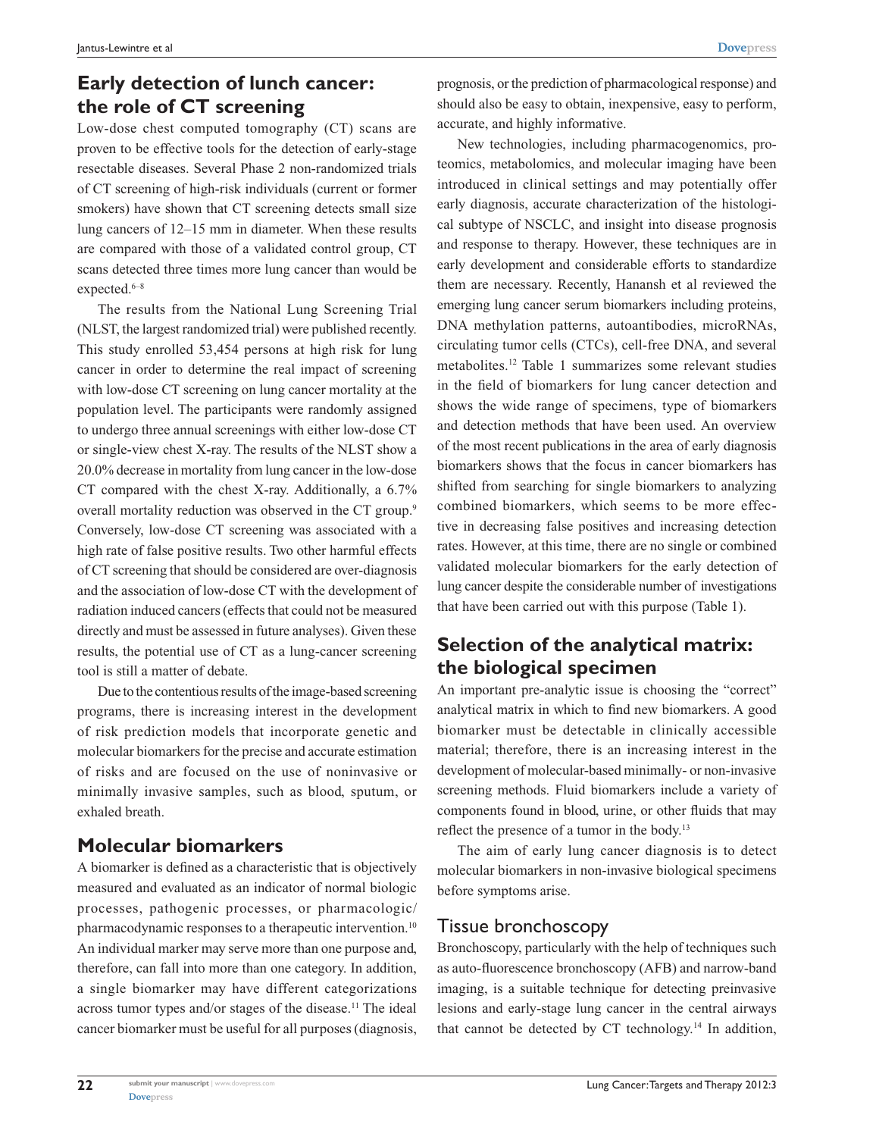### **Early detection of lunch cancer: the role of CT screening**

Low-dose chest computed tomography (CT) scans are proven to be effective tools for the detection of early-stage resectable diseases. Several Phase 2 non-randomized trials of CT screening of high-risk individuals (current or former smokers) have shown that CT screening detects small size lung cancers of 12–15 mm in diameter. When these results are compared with those of a validated control group, CT scans detected three times more lung cancer than would be expected.<sup>6–8</sup>

The results from the National Lung Screening Trial (NLST, the largest randomized trial) were published recently. This study enrolled 53,454 persons at high risk for lung cancer in order to determine the real impact of screening with low-dose CT screening on lung cancer mortality at the population level. The participants were randomly assigned to undergo three annual screenings with either low-dose CT or single-view chest X-ray. The results of the NLST show a 20.0% decrease in mortality from lung cancer in the low-dose CT compared with the chest X-ray. Additionally, a 6.7% overall mortality reduction was observed in the CT group.<sup>9</sup> Conversely, low-dose CT screening was associated with a high rate of false positive results. Two other harmful effects of CT screening that should be considered are over-diagnosis and the association of low-dose CT with the development of radiation induced cancers (effects that could not be measured directly and must be assessed in future analyses). Given these results, the potential use of CT as a lung-cancer screening tool is still a matter of debate.

Due to the contentious results of the image-based screening programs, there is increasing interest in the development of risk prediction models that incorporate genetic and molecular biomarkers for the precise and accurate estimation of risks and are focused on the use of noninvasive or minimally invasive samples, such as blood, sputum, or exhaled breath.

### **Molecular biomarkers**

A biomarker is defined as a characteristic that is objectively measured and evaluated as an indicator of normal biologic processes, pathogenic processes, or pharmacologic/ pharmacodynamic responses to a therapeutic intervention.<sup>10</sup> An individual marker may serve more than one purpose and, therefore, can fall into more than one category. In addition, a single biomarker may have different categorizations across tumor types and/or stages of the disease.<sup>11</sup> The ideal cancer biomarker must be useful for all purposes (diagnosis, prognosis, or the prediction of pharmacological response) and should also be easy to obtain, inexpensive, easy to perform, accurate, and highly informative.

New technologies, including pharmacogenomics, proteomics, metabolomics, and molecular imaging have been introduced in clinical settings and may potentially offer early diagnosis, accurate characterization of the histological subtype of NSCLC, and insight into disease prognosis and response to therapy. However, these techniques are in early development and considerable efforts to standardize them are necessary. Recently, Hanansh et al reviewed the emerging lung cancer serum biomarkers including proteins, DNA methylation patterns, autoantibodies, microRNAs, circulating tumor cells (CTCs), cell-free DNA, and several metabolites.12 Table 1 summarizes some relevant studies in the field of biomarkers for lung cancer detection and shows the wide range of specimens, type of biomarkers and detection methods that have been used. An overview of the most recent publications in the area of early diagnosis biomarkers shows that the focus in cancer biomarkers has shifted from searching for single biomarkers to analyzing combined biomarkers, which seems to be more effective in decreasing false positives and increasing detection rates. However, at this time, there are no single or combined validated molecular biomarkers for the early detection of lung cancer despite the considerable number of investigations that have been carried out with this purpose (Table 1).

### **Selection of the analytical matrix: the biological specimen**

An important pre-analytic issue is choosing the "correct" analytical matrix in which to find new biomarkers. A good biomarker must be detectable in clinically accessible material; therefore, there is an increasing interest in the development of molecular-based minimally- or non-invasive screening methods. Fluid biomarkers include a variety of components found in blood, urine, or other fluids that may reflect the presence of a tumor in the body.<sup>13</sup>

The aim of early lung cancer diagnosis is to detect molecular biomarkers in non-invasive biological specimens before symptoms arise.

### Tissue bronchoscopy

Bronchoscopy, particularly with the help of techniques such as auto-fluorescence bronchoscopy (AFB) and narrow-band imaging, is a suitable technique for detecting preinvasive lesions and early-stage lung cancer in the central airways that cannot be detected by CT technology.14 In addition,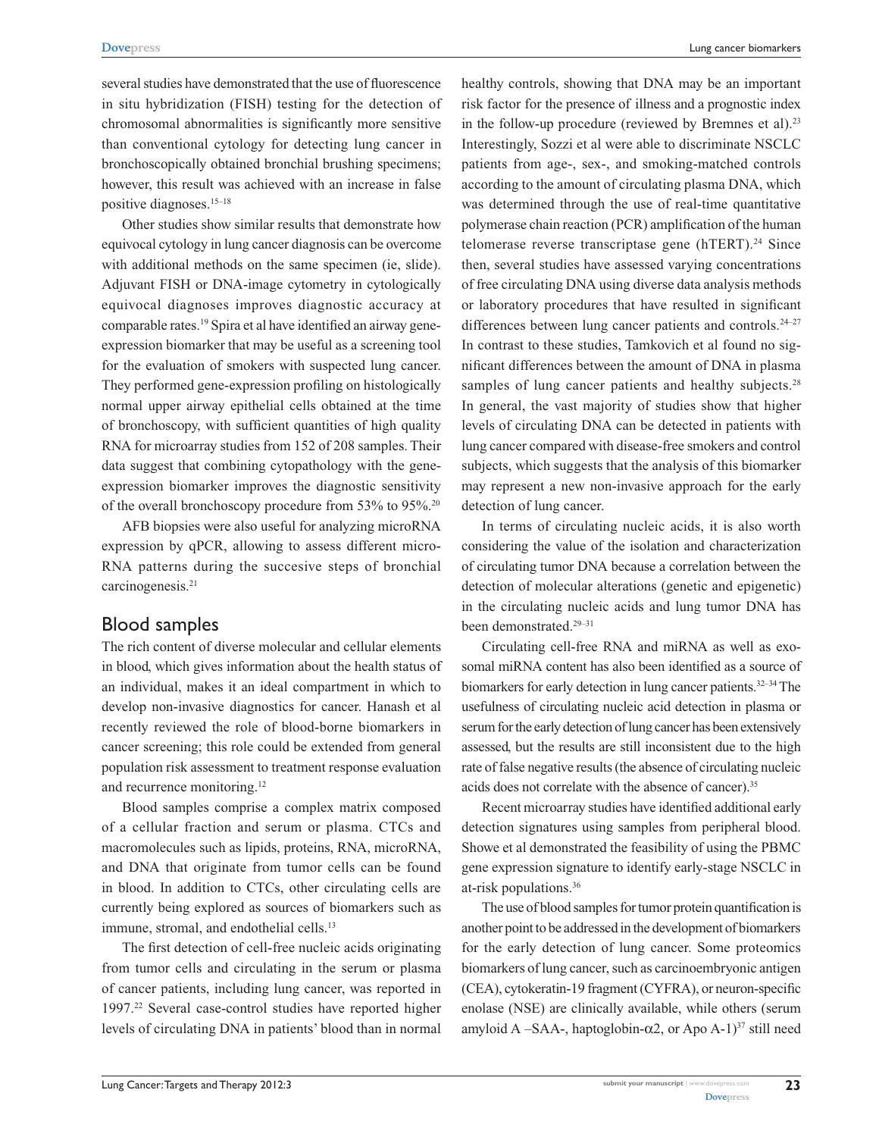several studies have demonstrated that the use of fluorescence in situ hybridization (FISH) testing for the detection of chromosomal abnormalities is significantly more sensitive than conventional cytology for detecting lung cancer in bronchoscopically obtained bronchial brushing specimens; however, this result was achieved with an increase in false positive diagnoses.15–18

Other studies show similar results that demonstrate how equivocal cytology in lung cancer diagnosis can be overcome with additional methods on the same specimen (ie, slide). Adjuvant FISH or DNA-image cytometry in cytologically equivocal diagnoses improves diagnostic accuracy at comparable rates.19 Spira et al have identified an airway geneexpression biomarker that may be useful as a screening tool for the evaluation of smokers with suspected lung cancer. They performed gene-expression profiling on histologically normal upper airway epithelial cells obtained at the time of bronchoscopy, with sufficient quantities of high quality RNA for microarray studies from 152 of 208 samples. Their data suggest that combining cytopathology with the geneexpression biomarker improves the diagnostic sensitivity of the overall bronchoscopy procedure from 53% to 95%.20

AFB biopsies were also useful for analyzing microRNA expression by qPCR, allowing to assess different micro-RNA patterns during the succesive steps of bronchial carcinogenesis.21

### Blood samples

The rich content of diverse molecular and cellular elements in blood, which gives information about the health status of an individual, makes it an ideal compartment in which to develop non-invasive diagnostics for cancer. Hanash et al recently reviewed the role of blood-borne biomarkers in cancer screening; this role could be extended from general population risk assessment to treatment response evaluation and recurrence monitoring.<sup>12</sup>

Blood samples comprise a complex matrix composed of a cellular fraction and serum or plasma. CTCs and macromolecules such as lipids, proteins, RNA, microRNA, and DNA that originate from tumor cells can be found in blood. In addition to CTCs, other circulating cells are currently being explored as sources of biomarkers such as immune, stromal, and endothelial cells.<sup>13</sup>

The first detection of cell-free nucleic acids originating from tumor cells and circulating in the serum or plasma of cancer patients, including lung cancer, was reported in 1997.22 Several case-control studies have reported higher levels of circulating DNA in patients' blood than in normal healthy controls, showing that DNA may be an important risk factor for the presence of illness and a prognostic index in the follow-up procedure (reviewed by Bremnes et al).<sup>23</sup> Interestingly, Sozzi et al were able to discriminate NSCLC patients from age-, sex-, and smoking-matched controls according to the amount of circulating plasma DNA, which was determined through the use of real-time quantitative polymerase chain reaction (PCR) amplification of the human telomerase reverse transcriptase gene (hTERT). $24$  Since then, several studies have assessed varying concentrations of free circulating DNA using diverse data analysis methods or laboratory procedures that have resulted in significant differences between lung cancer patients and controls.<sup>24-27</sup> In contrast to these studies, Tamkovich et al found no significant differences between the amount of DNA in plasma samples of lung cancer patients and healthy subjects.<sup>28</sup> In general, the vast majority of studies show that higher levels of circulating DNA can be detected in patients with lung cancer compared with disease-free smokers and control subjects, which suggests that the analysis of this biomarker may represent a new non-invasive approach for the early detection of lung cancer.

In terms of circulating nucleic acids, it is also worth considering the value of the isolation and characterization of circulating tumor DNA because a correlation between the detection of molecular alterations (genetic and epigenetic) in the circulating nucleic acids and lung tumor DNA has been demonstrated.29–31

Circulating cell-free RNA and miRNA as well as exosomal miRNA content has also been identified as a source of biomarkers for early detection in lung cancer patients.<sup>32-34</sup> The usefulness of circulating nucleic acid detection in plasma or serum for the early detection of lung cancer has been extensively assessed, but the results are still inconsistent due to the high rate of false negative results (the absence of circulating nucleic acids does not correlate with the absence of cancer).35

Recent microarray studies have identified additional early detection signatures using samples from peripheral blood. Showe et al demonstrated the feasibility of using the PBMC gene expression signature to identify early-stage NSCLC in at-risk populations.36

The use of blood samples for tumor protein quantification is another point to be addressed in the development of biomarkers for the early detection of lung cancer. Some proteomics biomarkers of lung cancer, such as carcinoembryonic antigen (CEA), cytokeratin-19 fragment (CYFRA), or neuron-specific enolase (NSE) are clinically available, while others (serum amyloid A –SAA-, haptoglobin- $\alpha$ 2, or Apo A-1)<sup>37</sup> still need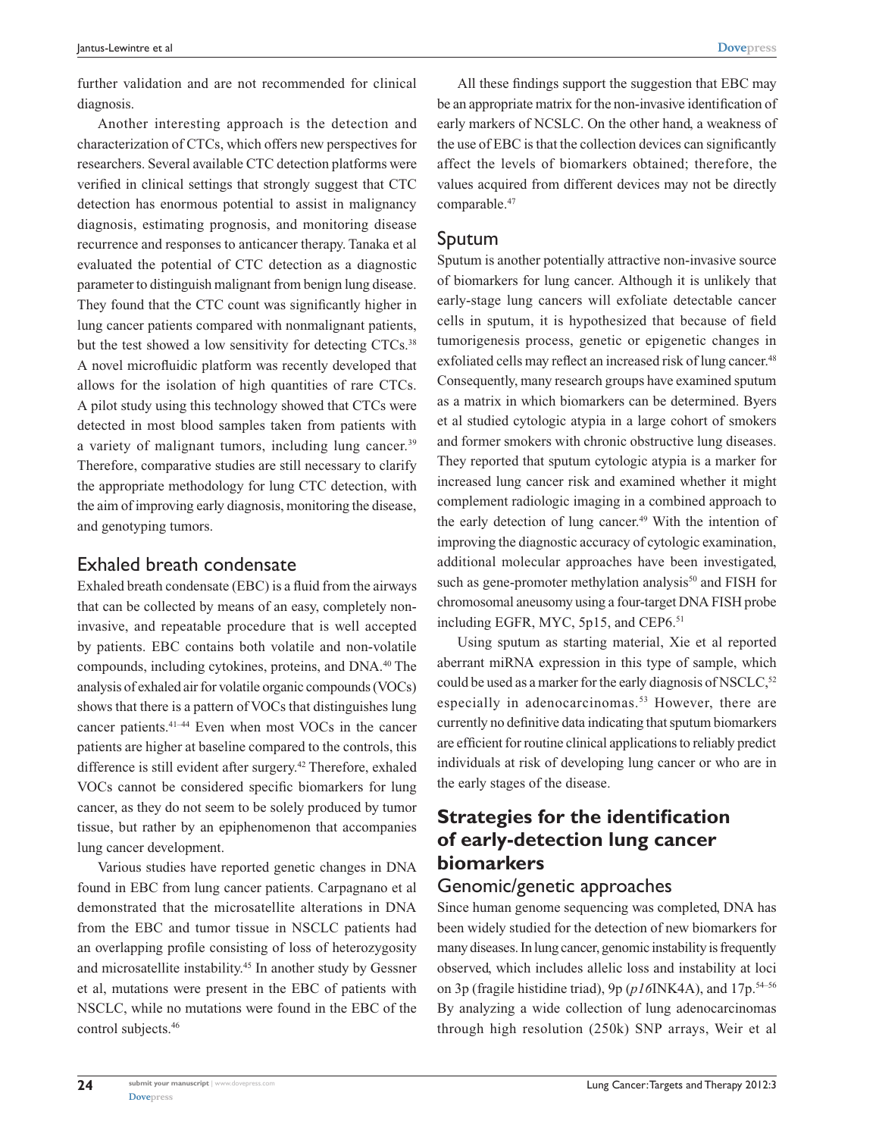further validation and are not recommended for clinical diagnosis.

Another interesting approach is the detection and characterization of CTCs, which offers new perspectives for researchers. Several available CTC detection platforms were verified in clinical settings that strongly suggest that CTC detection has enormous potential to assist in malignancy diagnosis, estimating prognosis, and monitoring disease recurrence and responses to anticancer therapy. Tanaka et al evaluated the potential of CTC detection as a diagnostic parameter to distinguish malignant from benign lung disease. They found that the CTC count was significantly higher in lung cancer patients compared with nonmalignant patients, but the test showed a low sensitivity for detecting CTCs.<sup>38</sup> A novel microfluidic platform was recently developed that allows for the isolation of high quantities of rare CTCs. A pilot study using this technology showed that CTCs were detected in most blood samples taken from patients with a variety of malignant tumors, including lung cancer.<sup>39</sup> Therefore, comparative studies are still necessary to clarify the appropriate methodology for lung CTC detection, with the aim of improving early diagnosis, monitoring the disease, and genotyping tumors.

### Exhaled breath condensate

Exhaled breath condensate (EBC) is a fluid from the airways that can be collected by means of an easy, completely noninvasive, and repeatable procedure that is well accepted by patients. EBC contains both volatile and non-volatile compounds, including cytokines, proteins, and DNA.<sup>40</sup> The analysis of exhaled air for volatile organic compounds (VOCs) shows that there is a pattern of VOCs that distinguishes lung cancer patients.41–44 Even when most VOCs in the cancer patients are higher at baseline compared to the controls, this difference is still evident after surgery.42 Therefore, exhaled VOCs cannot be considered specific biomarkers for lung cancer, as they do not seem to be solely produced by tumor tissue, but rather by an epiphenomenon that accompanies lung cancer development.

Various studies have reported genetic changes in DNA found in EBC from lung cancer patients. Carpagnano et al demonstrated that the microsatellite alterations in DNA from the EBC and tumor tissue in NSCLC patients had an overlapping profile consisting of loss of heterozygosity and microsatellite instability.<sup>45</sup> In another study by Gessner et al, mutations were present in the EBC of patients with NSCLC, while no mutations were found in the EBC of the control subjects.<sup>46</sup>

All these findings support the suggestion that EBC may be an appropriate matrix for the non-invasive identification of early markers of NCSLC. On the other hand, a weakness of the use of EBC is that the collection devices can significantly affect the levels of biomarkers obtained; therefore, the values acquired from different devices may not be directly comparable.<sup>47</sup>

#### Sputum

Sputum is another potentially attractive non-invasive source of biomarkers for lung cancer. Although it is unlikely that early-stage lung cancers will exfoliate detectable cancer cells in sputum, it is hypothesized that because of field tumorigenesis process, genetic or epigenetic changes in exfoliated cells may reflect an increased risk of lung cancer.<sup>48</sup> Consequently, many research groups have examined sputum as a matrix in which biomarkers can be determined. Byers et al studied cytologic atypia in a large cohort of smokers and former smokers with chronic obstructive lung diseases. They reported that sputum cytologic atypia is a marker for increased lung cancer risk and examined whether it might complement radiologic imaging in a combined approach to the early detection of lung cancer.<sup>49</sup> With the intention of improving the diagnostic accuracy of cytologic examination, additional molecular approaches have been investigated, such as gene-promoter methylation analysis<sup>50</sup> and FISH for chromosomal aneusomy using a four-target DNA FISH probe including EGFR, MYC, 5p15, and CEP6.<sup>51</sup>

Using sputum as starting material, Xie et al reported aberrant miRNA expression in this type of sample, which could be used as a marker for the early diagnosis of NSCLC,<sup>52</sup> especially in adenocarcinomas.<sup>53</sup> However, there are currently no definitive data indicating that sputum biomarkers are efficient for routine clinical applications to reliably predict individuals at risk of developing lung cancer or who are in the early stages of the disease.

## **Strategies for the identification of early-detection lung cancer biomarkers**

### Genomic/genetic approaches

Since human genome sequencing was completed, DNA has been widely studied for the detection of new biomarkers for many diseases. In lung cancer, genomic instability is frequently observed, which includes allelic loss and instability at loci on 3p (fragile histidine triad), 9p ( $p16$ INK4A), and 17p.<sup>54-56</sup> By analyzing a wide collection of lung adenocarcinomas through high resolution (250k) SNP arrays, Weir et al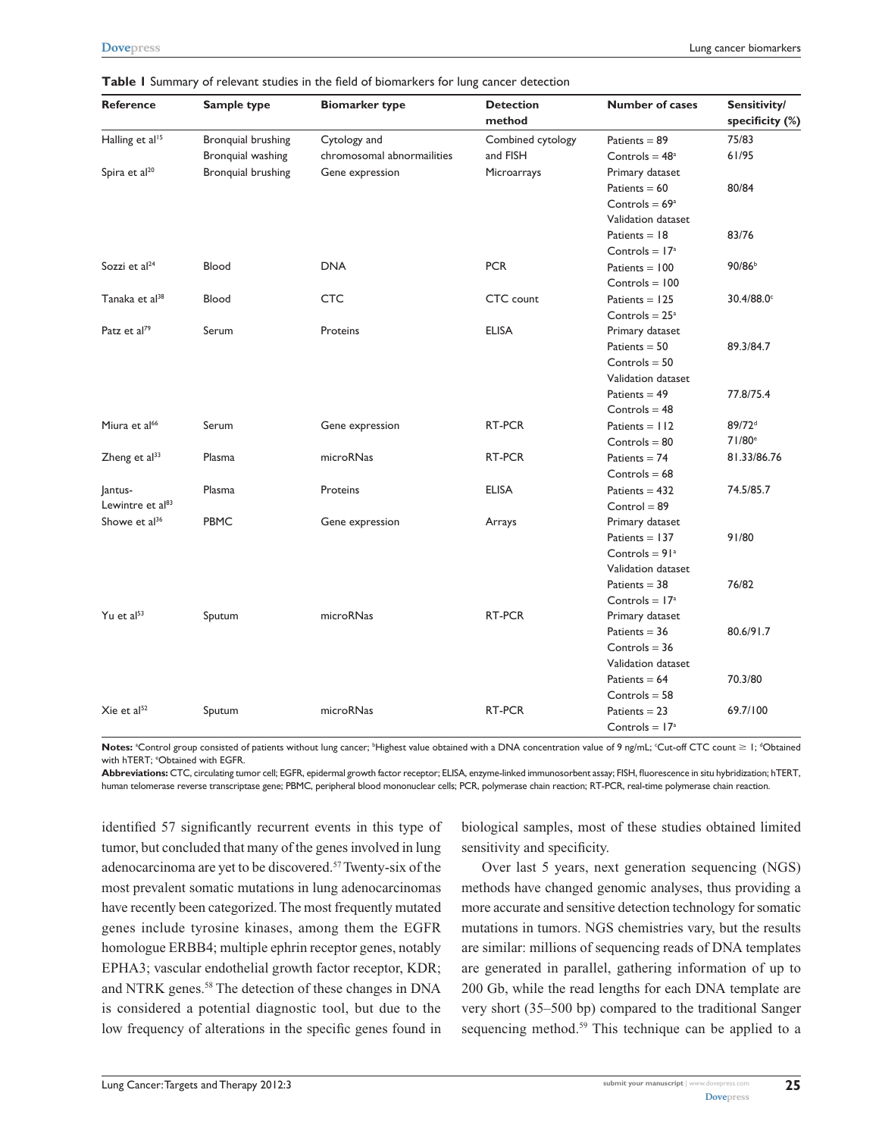| <b>Reference</b>             | Sample type        | <b>Biomarker type</b>      | <b>Detection</b><br>method | <b>Number of cases</b>  | Sensitivity/<br>specificity (%) |
|------------------------------|--------------------|----------------------------|----------------------------|-------------------------|---------------------------------|
| Halling et al <sup>15</sup>  | Bronquial brushing | Cytology and               | Combined cytology          | Patients $= 89$         | 75/83                           |
|                              | Bronquial washing  | chromosomal abnormailities | and FISH                   | Controls = $48a$        | 61/95                           |
| Spira et al <sup>20</sup>    | Bronquial brushing | Gene expression            | Microarrays                | Primary dataset         |                                 |
|                              |                    |                            |                            | Patients $= 60$         | 80/84                           |
|                              |                    |                            |                            | Controls = $69^{\circ}$ |                                 |
|                              |                    |                            |                            | Validation dataset      |                                 |
|                              |                    |                            |                            | Patients $= 18$         | 83/76                           |
|                              |                    |                            |                            | Controls = $17a$        |                                 |
| Sozzi et $al24$              | Blood              | <b>DNA</b>                 | <b>PCR</b>                 | Patients $= 100$        | 90/86 <sup>b</sup>              |
|                              |                    |                            |                            | Controls = $100$        |                                 |
| Tanaka et al <sup>38</sup>   | Blood              | <b>CTC</b>                 | CTC count                  | Patients $= 125$        | 30.4/88.0°                      |
|                              |                    |                            |                            | Controls = $25a$        |                                 |
| Patz et al <sup>79</sup>     | Serum              | Proteins                   | <b>ELISA</b>               | Primary dataset         |                                 |
|                              |                    |                            |                            | Patients $= 50$         | 89.3/84.7                       |
|                              |                    |                            |                            | Controls $= 50$         |                                 |
|                              |                    |                            |                            | Validation dataset      |                                 |
|                              |                    |                            |                            | Patients $=$ 49         | 77.8/75.4                       |
|                              |                    |                            |                            | Controls = $48$         |                                 |
| Miura et al <sup>66</sup>    | Serum              | Gene expression            | RT-PCR                     | Patients = $112$        | 89/72 <sup>d</sup>              |
|                              |                    |                            |                            | $Contents = 80$         | 71/80 <sup>e</sup>              |
| Zheng et al <sup>33</sup>    | Plasma             | microRNas                  | RT-PCR                     | Patients $= 74$         | 81.33/86.76                     |
|                              |                    |                            |                            | Controls = $68$         |                                 |
| Jantus-                      | Plasma             | Proteins                   | <b>ELISA</b>               | Patients $= 432$        | 74.5/85.7                       |
| Lewintre et al <sup>83</sup> |                    |                            |                            | $Control = 89$          |                                 |
| Showe et al <sup>36</sup>    | PBMC               | Gene expression            | Arrays                     | Primary dataset         |                                 |
|                              |                    |                            |                            | Patients $= 137$        | 91/80                           |
|                              |                    |                            |                            | Controls = $91^a$       |                                 |
|                              |                    |                            |                            | Validation dataset      |                                 |
|                              |                    |                            |                            | Patients $=$ 38         | 76/82                           |
|                              |                    |                            |                            | Controls = $17a$        |                                 |
| Yu et al <sup>53</sup>       | Sputum             | microRNas                  | RT-PCR                     | Primary dataset         |                                 |
|                              |                    |                            |                            | Patients $=$ 36         | 80.6/91.7                       |
|                              |                    |                            |                            | Controls = $36$         |                                 |
|                              |                    |                            |                            | Validation dataset      |                                 |
|                              |                    |                            |                            | Patients = $64$         | 70.3/80                         |
|                              |                    |                            |                            | Controls $=$ 58         |                                 |
| Xie et al <sup>52</sup>      | Sputum             | microRNas                  | RT-PCR                     | Patients $= 23$         | 69.7/100                        |
|                              |                    |                            |                            | Controls = $17a$        |                                 |

**Table 1** Summary of relevant studies in the field of biomarkers for lung cancer detection

Notes: <sup>a</sup>Control group consisted of patients without lung cancer; <sup>5</sup>Highest value obtained with a DNA concentration value of 9 ng/mL; °Cut-off CTC count ≥ 1; °Obtained with hTERT; <sup>e</sup>Obtained with EGFR.

**Abbreviations:** CTC, circulating tumor cell; EGFR, epidermal growth factor receptor; ELISA, enzyme-linked immunosorbent assay; FISH, fluorescence in situ hybridization; hTERT, human telomerase reverse transcriptase gene; PBMC, peripheral blood mononuclear cells; PCR, polymerase chain reaction; RT-PCR, real-time polymerase chain reaction.

identified 57 significantly recurrent events in this type of tumor, but concluded that many of the genes involved in lung adenocarcinoma are yet to be discovered.57 Twenty-six of the most prevalent somatic mutations in lung adenocarcinomas have recently been categorized. The most frequently mutated genes include tyrosine kinases, among them the EGFR homologue ERBB4; multiple ephrin receptor genes, notably EPHA3; vascular endothelial growth factor receptor, KDR; and NTRK genes.<sup>58</sup> The detection of these changes in DNA is considered a potential diagnostic tool, but due to the low frequency of alterations in the specific genes found in

biological samples, most of these studies obtained limited sensitivity and specificity.

Over last 5 years, next generation sequencing (NGS) methods have changed genomic analyses, thus providing a more accurate and sensitive detection technology for somatic mutations in tumors. NGS chemistries vary, but the results are similar: millions of sequencing reads of DNA templates are generated in parallel, gathering information of up to 200 Gb, while the read lengths for each DNA template are very short (35–500 bp) compared to the traditional Sanger sequencing method.<sup>59</sup> This technique can be applied to a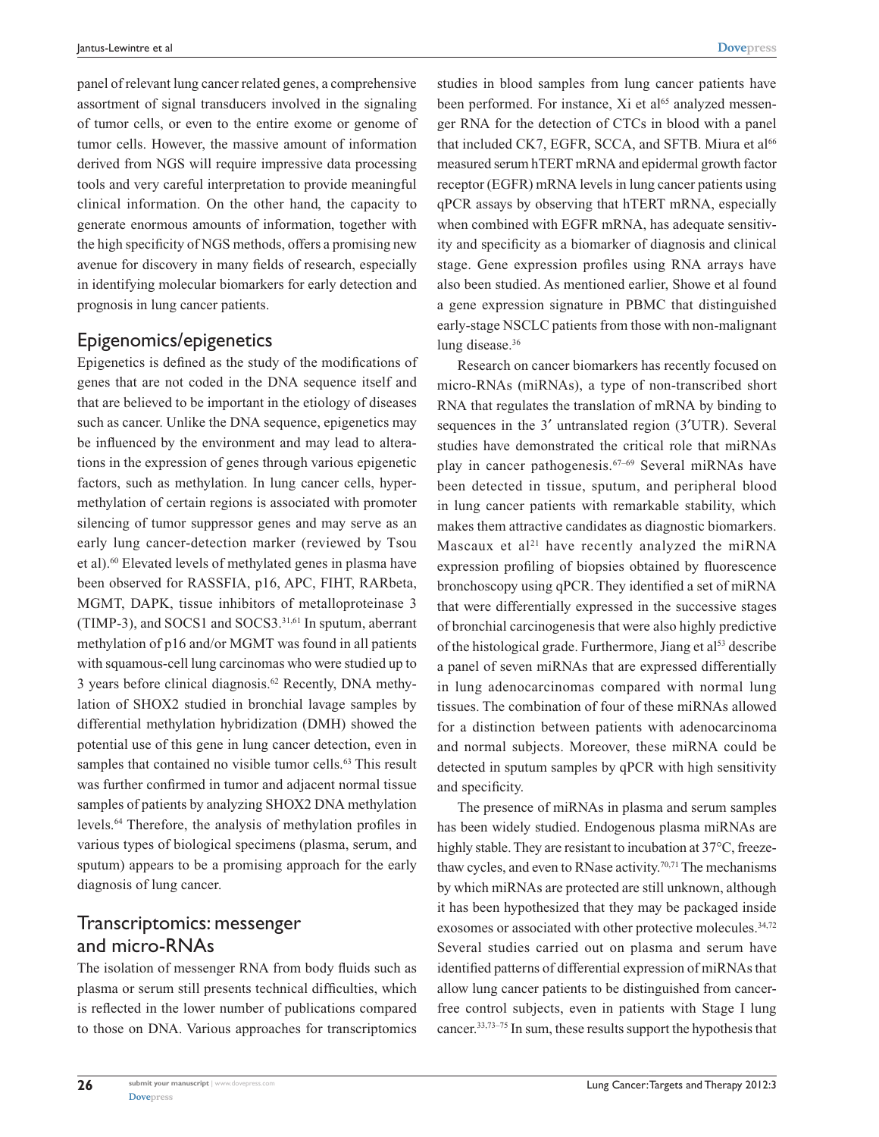**[Dovepress](www.dovepress.com)**

panel of relevant lung cancer related genes, a comprehensive assortment of signal transducers involved in the signaling of tumor cells, or even to the entire exome or genome of tumor cells. However, the massive amount of information derived from NGS will require impressive data processing tools and very careful interpretation to provide meaningful clinical information. On the other hand, the capacity to generate enormous amounts of information, together with the high specificity of NGS methods, offers a promising new avenue for discovery in many fields of research, especially in identifying molecular biomarkers for early detection and prognosis in lung cancer patients.

### Epigenomics/epigenetics

Epigenetics is defined as the study of the modifications of genes that are not coded in the DNA sequence itself and that are believed to be important in the etiology of diseases such as cancer. Unlike the DNA sequence, epigenetics may be influenced by the environment and may lead to alterations in the expression of genes through various epigenetic factors, such as methylation. In lung cancer cells, hypermethylation of certain regions is associated with promoter silencing of tumor suppressor genes and may serve as an early lung cancer-detection marker (reviewed by Tsou et al).60 Elevated levels of methylated genes in plasma have been observed for RASSFIA, p16, APC, FIHT, RARbeta, MGMT, DAPK, tissue inhibitors of metalloproteinase 3 (TIMP-3), and SOCS1 and SOCS3.31,61 In sputum, aberrant methylation of p16 and/or MGMT was found in all patients with squamous-cell lung carcinomas who were studied up to 3 years before clinical diagnosis.62 Recently, DNA methylation of SHOX2 studied in bronchial lavage samples by differential methylation hybridization (DMH) showed the potential use of this gene in lung cancer detection, even in samples that contained no visible tumor cells.<sup>63</sup> This result was further confirmed in tumor and adjacent normal tissue samples of patients by analyzing SHOX2 DNA methylation levels.64 Therefore, the analysis of methylation profiles in various types of biological specimens (plasma, serum, and sputum) appears to be a promising approach for the early diagnosis of lung cancer.

### Transcriptomics: messenger and micro-RNAs

The isolation of messenger RNA from body fluids such as plasma or serum still presents technical difficulties, which is reflected in the lower number of publications compared to those on DNA. Various approaches for transcriptomics studies in blood samples from lung cancer patients have been performed. For instance, Xi et al<sup>65</sup> analyzed messenger RNA for the detection of CTCs in blood with a panel that included CK7, EGFR, SCCA, and SFTB. Miura et al<sup>66</sup> measured serum hTERT mRNA and epidermal growth factor receptor (EGFR) mRNA levels in lung cancer patients using qPCR assays by observing that hTERT mRNA, especially when combined with EGFR mRNA, has adequate sensitivity and specificity as a biomarker of diagnosis and clinical stage. Gene expression profiles using RNA arrays have also been studied. As mentioned earlier, Showe et al found a gene expression signature in PBMC that distinguished early-stage NSCLC patients from those with non-malignant lung disease.<sup>36</sup>

Research on cancer biomarkers has recently focused on micro-RNAs (miRNAs), a type of non-transcribed short RNA that regulates the translation of mRNA by binding to sequences in the 3′ untranslated region (3′UTR). Several studies have demonstrated the critical role that miRNAs play in cancer pathogenesis.67–69 Several miRNAs have been detected in tissue, sputum, and peripheral blood in lung cancer patients with remarkable stability, which makes them attractive candidates as diagnostic biomarkers. Mascaux et al<sup>21</sup> have recently analyzed the miRNA expression profiling of biopsies obtained by fluorescence bronchoscopy using qPCR. They identified a set of miRNA that were differentially expressed in the successive stages of bronchial carcinogenesis that were also highly predictive of the histological grade. Furthermore, Jiang et al<sup>53</sup> describe a panel of seven miRNAs that are expressed differentially in lung adenocarcinomas compared with normal lung tissues. The combination of four of these miRNAs allowed for a distinction between patients with adenocarcinoma and normal subjects. Moreover, these miRNA could be detected in sputum samples by qPCR with high sensitivity and specificity.

The presence of miRNAs in plasma and serum samples has been widely studied. Endogenous plasma miRNAs are highly stable. They are resistant to incubation at 37°C, freezethaw cycles, and even to RNase activity.<sup>70,71</sup> The mechanisms by which miRNAs are protected are still unknown, although it has been hypothesized that they may be packaged inside exosomes or associated with other protective molecules.<sup>34,72</sup> Several studies carried out on plasma and serum have identified patterns of differential expression of miRNAs that allow lung cancer patients to be distinguished from cancerfree control subjects, even in patients with Stage I lung cancer.33,73–75 In sum, these results support the hypothesis that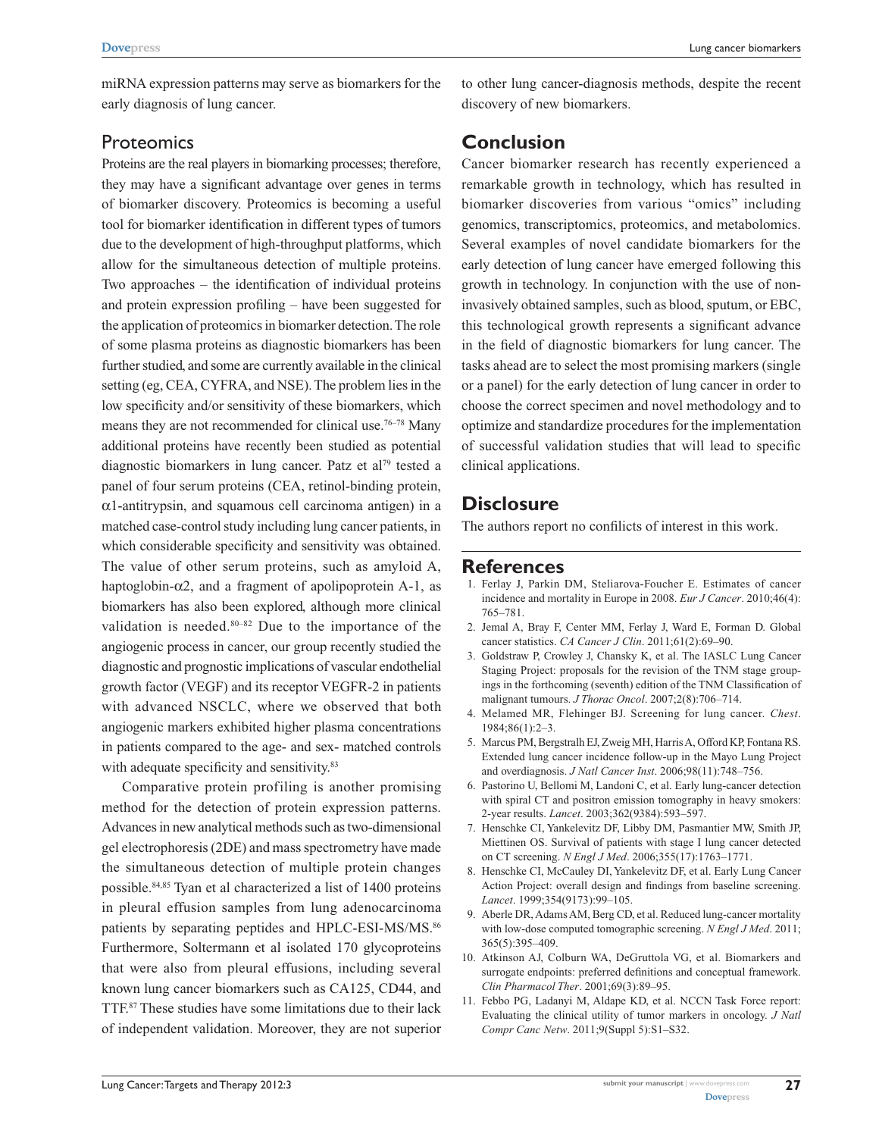miRNA expression patterns may serve as biomarkers for the early diagnosis of lung cancer.

### **Proteomics**

Proteins are the real players in biomarking processes; therefore, they may have a significant advantage over genes in terms of biomarker discovery. Proteomics is becoming a useful tool for biomarker identification in different types of tumors due to the development of high-throughput platforms, which allow for the simultaneous detection of multiple proteins. Two approaches – the identification of individual proteins and protein expression profiling – have been suggested for the application of proteomics in biomarker detection. The role of some plasma proteins as diagnostic biomarkers has been further studied, and some are currently available in the clinical setting (eg, CEA, CYFRA, and NSE). The problem lies in the low specificity and/or sensitivity of these biomarkers, which means they are not recommended for clinical use.<sup>76–78</sup> Many additional proteins have recently been studied as potential diagnostic biomarkers in lung cancer. Patz et al<sup>79</sup> tested a panel of four serum proteins (CEA, retinol-binding protein,  $\alpha$ 1-antitrypsin, and squamous cell carcinoma antigen) in a matched case-control study including lung cancer patients, in which considerable specificity and sensitivity was obtained. The value of other serum proteins, such as amyloid A, haptoglobin- $\alpha$ 2, and a fragment of apolipoprotein A-1, as biomarkers has also been explored, although more clinical validation is needed. $80-82$  Due to the importance of the angiogenic process in cancer, our group recently studied the diagnostic and prognostic implications of vascular endothelial growth factor (VEGF) and its receptor VEGFR-2 in patients with advanced NSCLC, where we observed that both angiogenic markers exhibited higher plasma concentrations in patients compared to the age- and sex- matched controls with adequate specificity and sensitivity.<sup>83</sup>

Comparative protein profiling is another promising method for the detection of protein expression patterns. Advances in new analytical methods such as two-dimensional gel electrophoresis (2DE) and mass spectrometry have made the simultaneous detection of multiple protein changes possible.84,85 Tyan et al characterized a list of 1400 proteins in pleural effusion samples from lung adenocarcinoma patients by separating peptides and HPLC-ESI-MS/MS.<sup>86</sup> Furthermore, Soltermann et al isolated 170 glycoproteins that were also from pleural effusions, including several known lung cancer biomarkers such as CA125, CD44, and TTF.87 These studies have some limitations due to their lack of independent validation. Moreover, they are not superior to other lung cancer-diagnosis methods, despite the recent discovery of new biomarkers.

### **Conclusion**

Cancer biomarker research has recently experienced a remarkable growth in technology, which has resulted in biomarker discoveries from various "omics" including genomics, transcriptomics, proteomics, and metabolomics. Several examples of novel candidate biomarkers for the early detection of lung cancer have emerged following this growth in technology. In conjunction with the use of noninvasively obtained samples, such as blood, sputum, or EBC, this technological growth represents a significant advance in the field of diagnostic biomarkers for lung cancer. The tasks ahead are to select the most promising markers (single or a panel) for the early detection of lung cancer in order to choose the correct specimen and novel methodology and to optimize and standardize procedures for the implementation of successful validation studies that will lead to specific clinical applications.

## **Disclosure**

The authors report no confilicts of interest in this work.

### **References**

- 1. Ferlay J, Parkin DM, Steliarova-Foucher E. Estimates of cancer incidence and mortality in Europe in 2008. *Eur J Cancer*. 2010;46(4): 765–781.
- 2. Jemal A, Bray F, Center MM, Ferlay J, Ward E, Forman D. Global cancer statistics. *CA Cancer J Clin*. 2011;61(2):69–90.
- 3. Goldstraw P, Crowley J, Chansky K, et al. The IASLC Lung Cancer Staging Project: proposals for the revision of the TNM stage groupings in the forthcoming (seventh) edition of the TNM Classification of malignant tumours. *J Thorac Oncol*. 2007;2(8):706–714.
- 4. Melamed MR, Flehinger BJ. Screening for lung cancer. *Chest*. 1984;86(1):2–3.
- 5. Marcus PM, Bergstralh EJ, Zweig MH, Harris A, Offord KP, Fontana RS. Extended lung cancer incidence follow-up in the Mayo Lung Project and overdiagnosis. *J Natl Cancer Inst*. 2006;98(11):748–756.
- 6. Pastorino U, Bellomi M, Landoni C, et al. Early lung-cancer detection with spiral CT and positron emission tomography in heavy smokers: 2-year results. *Lancet*. 2003;362(9384):593–597.
- 7. Henschke CI, Yankelevitz DF, Libby DM, Pasmantier MW, Smith JP, Miettinen OS. Survival of patients with stage I lung cancer detected on CT screening. *N Engl J Med*. 2006;355(17):1763–1771.
- 8. Henschke CI, McCauley DI, Yankelevitz DF, et al. Early Lung Cancer Action Project: overall design and findings from baseline screening. *Lancet*. 1999;354(9173):99–105.
- 9. Aberle DR, Adams AM, Berg CD, et al. Reduced lung-cancer mortality with low-dose computed tomographic screening. *N Engl J Med*. 2011; 365(5):395–409.
- 10. Atkinson AJ, Colburn WA, DeGruttola VG, et al. Biomarkers and surrogate endpoints: preferred definitions and conceptual framework. *Clin Pharmacol Ther*. 2001;69(3):89–95.
- 11. Febbo PG, Ladanyi M, Aldape KD, et al. NCCN Task Force report: Evaluating the clinical utility of tumor markers in oncology. *J Natl Compr Canc Netw*. 2011;9(Suppl 5):S1–S32.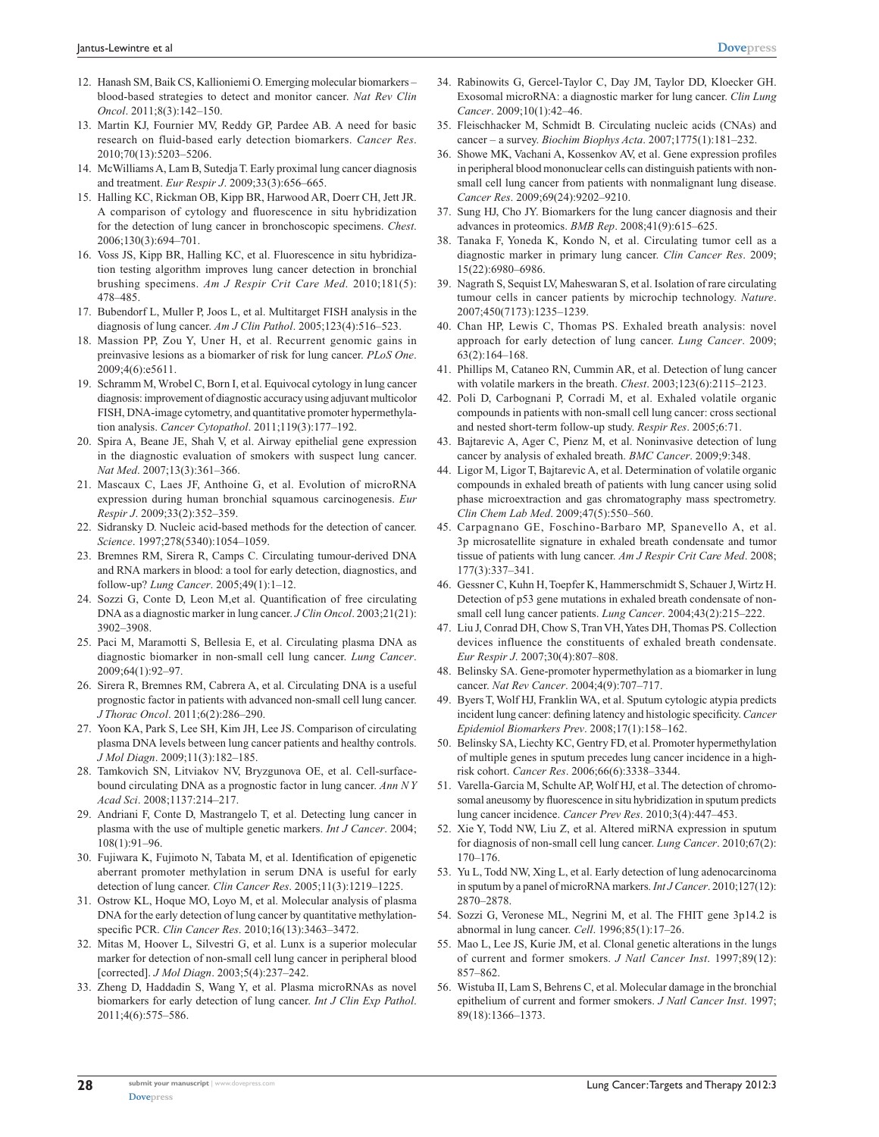- 12. Hanash SM, Baik CS, Kallioniemi O. Emerging molecular biomarkers blood-based strategies to detect and monitor cancer. *Nat Rev Clin Oncol*. 2011;8(3):142–150.
- 13. Martin KJ, Fournier MV, Reddy GP, Pardee AB. A need for basic research on fluid-based early detection biomarkers. *Cancer Res*. 2010;70(13):5203–5206.
- 14. McWilliams A, Lam B, Sutedja T. Early proximal lung cancer diagnosis and treatment. *Eur Respir J*. 2009;33(3):656–665.
- 15. Halling KC, Rickman OB, Kipp BR, Harwood AR, Doerr CH, Jett JR. A comparison of cytology and fluorescence in situ hybridization for the detection of lung cancer in bronchoscopic specimens. *Chest*. 2006;130(3):694–701.
- 16. Voss JS, Kipp BR, Halling KC, et al. Fluorescence in situ hybridization testing algorithm improves lung cancer detection in bronchial brushing specimens. *Am J Respir Crit Care Med*. 2010;181(5): 478–485.
- 17. Bubendorf L, Muller P, Joos L, et al. Multitarget FISH analysis in the diagnosis of lung cancer. *Am J Clin Pathol*. 2005;123(4):516–523.
- 18. Massion PP, Zou Y, Uner H, et al. Recurrent genomic gains in preinvasive lesions as a biomarker of risk for lung cancer. *PLoS One*. 2009;4(6):e5611.
- 19. Schramm M, Wrobel C, Born I, et al. Equivocal cytology in lung cancer diagnosis: improvement of diagnostic accuracy using adjuvant multicolor FISH, DNA-image cytometry, and quantitative promoter hypermethylation analysis. *Cancer Cytopathol*. 2011;119(3):177–192.
- 20. Spira A, Beane JE, Shah V, et al. Airway epithelial gene expression in the diagnostic evaluation of smokers with suspect lung cancer. *Nat Med*. 2007;13(3):361–366.
- 21. Mascaux C, Laes JF, Anthoine G, et al. Evolution of microRNA expression during human bronchial squamous carcinogenesis. *Eur Respir J*. 2009;33(2):352–359.
- 22. Sidransky D. Nucleic acid-based methods for the detection of cancer. *Science*. 1997;278(5340):1054–1059.
- 23. Bremnes RM, Sirera R, Camps C. Circulating tumour-derived DNA and RNA markers in blood: a tool for early detection, diagnostics, and follow-up? *Lung Cancer*. 2005;49(1):1–12.
- 24. Sozzi G, Conte D, Leon M,et al. Quantification of free circulating DNA as a diagnostic marker in lung cancer. *J Clin Oncol*. 2003;21(21): 3902–3908.
- 25. Paci M, Maramotti S, Bellesia E, et al. Circulating plasma DNA as diagnostic biomarker in non-small cell lung cancer. *Lung Cancer*. 2009;64(1):92–97.
- 26. Sirera R, Bremnes RM, Cabrera A, et al. Circulating DNA is a useful prognostic factor in patients with advanced non-small cell lung cancer. *J Thorac Oncol*. 2011;6(2):286–290.
- 27. Yoon KA, Park S, Lee SH, Kim JH, Lee JS. Comparison of circulating plasma DNA levels between lung cancer patients and healthy controls. *J Mol Diagn*. 2009;11(3):182–185.
- 28. Tamkovich SN, Litviakov NV, Bryzgunova OE, et al. Cell-surfacebound circulating DNA as a prognostic factor in lung cancer. *Ann N Y Acad Sci*. 2008;1137:214–217.
- 29. Andriani F, Conte D, Mastrangelo T, et al. Detecting lung cancer in plasma with the use of multiple genetic markers. *Int J Cancer*. 2004; 108(1):91–96.
- 30. Fujiwara K, Fujimoto N, Tabata M, et al. Identification of epigenetic aberrant promoter methylation in serum DNA is useful for early detection of lung cancer. *Clin Cancer Res*. 2005;11(3):1219–1225.
- 31. Ostrow KL, Hoque MO, Loyo M, et al. Molecular analysis of plasma DNA for the early detection of lung cancer by quantitative methylationspecific PCR. *Clin Cancer Res*. 2010;16(13):3463–3472.
- 32. Mitas M, Hoover L, Silvestri G, et al. Lunx is a superior molecular marker for detection of non-small cell lung cancer in peripheral blood [corrected]. *J Mol Diagn*. 2003;5(4):237–242.
- 33. Zheng D, Haddadin S, Wang Y, et al. Plasma microRNAs as novel biomarkers for early detection of lung cancer. *Int J Clin Exp Pathol*. 2011;4(6):575–586.
- 34. Rabinowits G, Gercel-Taylor C, Day JM, Taylor DD, Kloecker GH. Exosomal microRNA: a diagnostic marker for lung cancer. *Clin Lung Cancer*. 2009;10(1):42–46.
- 35. Fleischhacker M, Schmidt B. Circulating nucleic acids (CNAs) and cancer – a survey. *Biochim Biophys Acta*. 2007;1775(1):181–232.
- 36. Showe MK, Vachani A, Kossenkov AV, et al. Gene expression profiles in peripheral blood mononuclear cells can distinguish patients with nonsmall cell lung cancer from patients with nonmalignant lung disease. *Cancer Res*. 2009;69(24):9202–9210.
- 37. Sung HJ, Cho JY. Biomarkers for the lung cancer diagnosis and their advances in proteomics. *BMB Rep*. 2008;41(9):615–625.
- 38. Tanaka F, Yoneda K, Kondo N, et al. Circulating tumor cell as a diagnostic marker in primary lung cancer. *Clin Cancer Res*. 2009; 15(22):6980–6986.
- 39. Nagrath S, Sequist LV, Maheswaran S, et al. Isolation of rare circulating tumour cells in cancer patients by microchip technology. *Nature*. 2007;450(7173):1235–1239.
- 40. Chan HP, Lewis C, Thomas PS. Exhaled breath analysis: novel approach for early detection of lung cancer. *Lung Cancer*. 2009; 63(2):164–168.
- 41. Phillips M, Cataneo RN, Cummin AR, et al. Detection of lung cancer with volatile markers in the breath. *Chest*. 2003;123(6):2115–2123.
- 42. Poli D, Carbognani P, Corradi M, et al. Exhaled volatile organic compounds in patients with non-small cell lung cancer: cross sectional and nested short-term follow-up study. *Respir Res*. 2005;6:71.
- 43. Bajtarevic A, Ager C, Pienz M, et al. Noninvasive detection of lung cancer by analysis of exhaled breath. *BMC Cancer*. 2009;9:348.
- 44. Ligor M, Ligor T, Bajtarevic A, et al. Determination of volatile organic compounds in exhaled breath of patients with lung cancer using solid phase microextraction and gas chromatography mass spectrometry. *Clin Chem Lab Med*. 2009;47(5):550–560.
- 45. Carpagnano GE, Foschino-Barbaro MP, Spanevello A, et al. 3p microsatellite signature in exhaled breath condensate and tumor tissue of patients with lung cancer. *Am J Respir Crit Care Med*. 2008; 177(3):337–341.
- 46. Gessner C, Kuhn H, Toepfer K, Hammerschmidt S, Schauer J, Wirtz H. Detection of p53 gene mutations in exhaled breath condensate of nonsmall cell lung cancer patients. *Lung Cancer*. 2004;43(2):215–222.
- 47. Liu J, Conrad DH, Chow S, Tran VH, Yates DH, Thomas PS. Collection devices influence the constituents of exhaled breath condensate. *Eur Respir J*. 2007;30(4):807–808.
- 48. Belinsky SA. Gene-promoter hypermethylation as a biomarker in lung cancer. *Nat Rev Cancer*. 2004;4(9):707–717.
- 49. Byers T, Wolf HJ, Franklin WA, et al. Sputum cytologic atypia predicts incident lung cancer: defining latency and histologic specificity. *Cancer Epidemiol Biomarkers Prev*. 2008;17(1):158–162.
- 50. Belinsky SA, Liechty KC, Gentry FD, et al. Promoter hypermethylation of multiple genes in sputum precedes lung cancer incidence in a highrisk cohort. *Cancer Res*. 2006;66(6):3338–3344.
- 51. Varella-Garcia M, Schulte AP, Wolf HJ, et al. The detection of chromosomal aneusomy by fluorescence in situ hybridization in sputum predicts lung cancer incidence. *Cancer Prev Res*. 2010;3(4):447–453.
- 52. Xie Y, Todd NW, Liu Z, et al. Altered miRNA expression in sputum for diagnosis of non-small cell lung cancer. *Lung Cancer*. 2010;67(2): 170–176.
- 53. Yu L, Todd NW, Xing L, et al. Early detection of lung adenocarcinoma in sputum by a panel of microRNA markers. *Int J Cancer*. 2010;127(12): 2870–2878.
- 54. Sozzi G, Veronese ML, Negrini M, et al. The FHIT gene 3p14.2 is abnormal in lung cancer. *Cell*. 1996;85(1):17–26.
- 55. Mao L, Lee JS, Kurie JM, et al. Clonal genetic alterations in the lungs of current and former smokers. *J Natl Cancer Inst*. 1997;89(12): 857–862.
- 56. Wistuba II, Lam S, Behrens C, et al. Molecular damage in the bronchial epithelium of current and former smokers. *J Natl Cancer Inst*. 1997; 89(18):1366–1373.